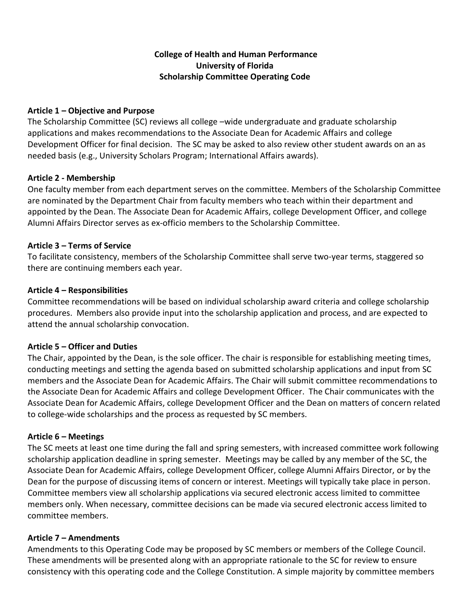## **College of Health and Human Performance University of Florida Scholarship Committee Operating Code**

### **Article 1 – Objective and Purpose**

The Scholarship Committee (SC) reviews all college –wide undergraduate and graduate scholarship applications and makes recommendations to the Associate Dean for Academic Affairs and college Development Officer for final decision. The SC may be asked to also review other student awards on an as needed basis (e.g., University Scholars Program; International Affairs awards).

### **Article 2 - Membership**

One faculty member from each department serves on the committee. Members of the Scholarship Committee are nominated by the Department Chair from faculty members who teach within their department and appointed by the Dean. The Associate Dean for Academic Affairs, college Development Officer, and college Alumni Affairs Director serves as ex-officio members to the Scholarship Committee.

### **Article 3 – Terms of Service**

To facilitate consistency, members of the Scholarship Committee shall serve two-year terms, staggered so there are continuing members each year.

### **Article 4 – Responsibilities**

Committee recommendations will be based on individual scholarship award criteria and college scholarship procedures. Members also provide input into the scholarship application and process, and are expected to attend the annual scholarship convocation.

# **Article 5 – Officer and Duties**

The Chair, appointed by the Dean, is the sole officer. The chair is responsible for establishing meeting times, conducting meetings and setting the agenda based on submitted scholarship applications and input from SC members and the Associate Dean for Academic Affairs. The Chair will submit committee recommendations to the Associate Dean for Academic Affairs and college Development Officer. The Chair communicates with the Associate Dean for Academic Affairs, college Development Officer and the Dean on matters of concern related to college-wide scholarships and the process as requested by SC members.

### **Article 6 – Meetings**

The SC meets at least one time during the fall and spring semesters, with increased committee work following scholarship application deadline in spring semester. Meetings may be called by any member of the SC, the Associate Dean for Academic Affairs, college Development Officer, college Alumni Affairs Director, or by the Dean for the purpose of discussing items of concern or interest. Meetings will typically take place in person. Committee members view all scholarship applications via secured electronic access limited to committee members only. When necessary, committee decisions can be made via secured electronic access limited to committee members.

### **Article 7 – Amendments**

Amendments to this Operating Code may be proposed by SC members or members of the College Council. These amendments will be presented along with an appropriate rationale to the SC for review to ensure consistency with this operating code and the College Constitution. A simple majority by committee members